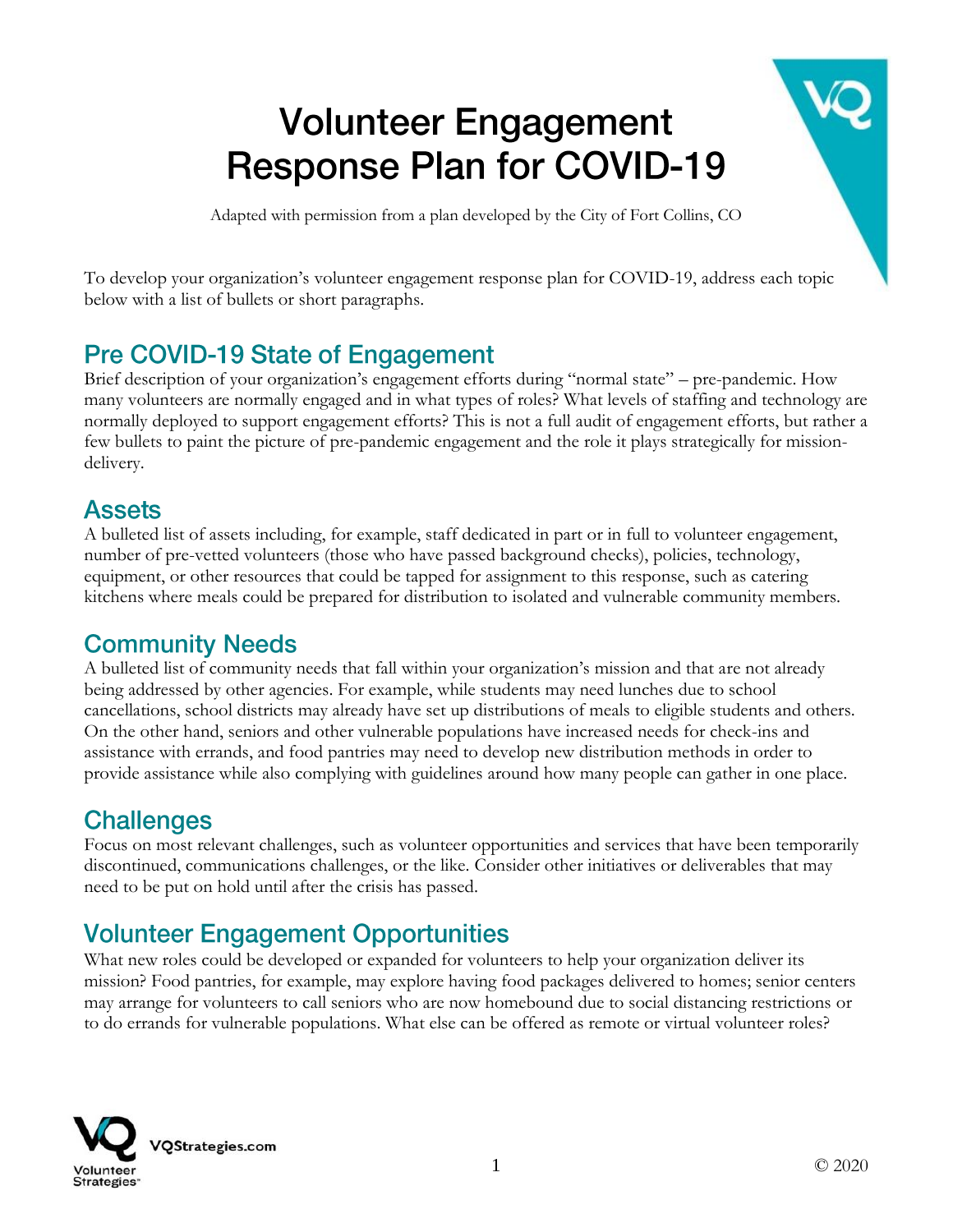# **Volunteer Engagement Response Plan for COVID-19**

Adapted with permission from a plan developed by the City of Fort Collins, CO

To develop your organization's volunteer engagement response plan for COVID-19, address each topic below with a list of bullets or short paragraphs.

### **Pre COVID-19 State of Engagement**

Brief description of your organization's engagement efforts during "normal state" – pre-pandemic. How many volunteers are normally engaged and in what types of roles? What levels of staffing and technology are normally deployed to support engagement efforts? This is not a full audit of engagement efforts, but rather a few bullets to paint the picture of pre-pandemic engagement and the role it plays strategically for missiondelivery.

#### **Assets**

A bulleted list of assets including, for example, staff dedicated in part or in full to volunteer engagement, number of pre-vetted volunteers (those who have passed background checks), policies, technology, equipment, or other resources that could be tapped for assignment to this response, such as catering kitchens where meals could be prepared for distribution to isolated and vulnerable community members.

#### **Community Needs**

A bulleted list of community needs that fall within your organization's mission and that are not already being addressed by other agencies. For example, while students may need lunches due to school cancellations, school districts may already have set up distributions of meals to eligible students and others. On the other hand, seniors and other vulnerable populations have increased needs for check-ins and assistance with errands, and food pantries may need to develop new distribution methods in order to provide assistance while also complying with guidelines around how many people can gather in one place.

#### **Challenges**

Focus on most relevant challenges, such as volunteer opportunities and services that have been temporarily discontinued, communications challenges, or the like. Consider other initiatives or deliverables that may need to be put on hold until after the crisis has passed.

# **Volunteer Engagement Opportunities**

What new roles could be developed or expanded for volunteers to help your organization deliver its mission? Food pantries, for example, may explore having food packages delivered to homes; senior centers may arrange for volunteers to call seniors who are now homebound due to social distancing restrictions or to do errands for vulnerable populations. What else can be offered as remote or virtual volunteer roles?

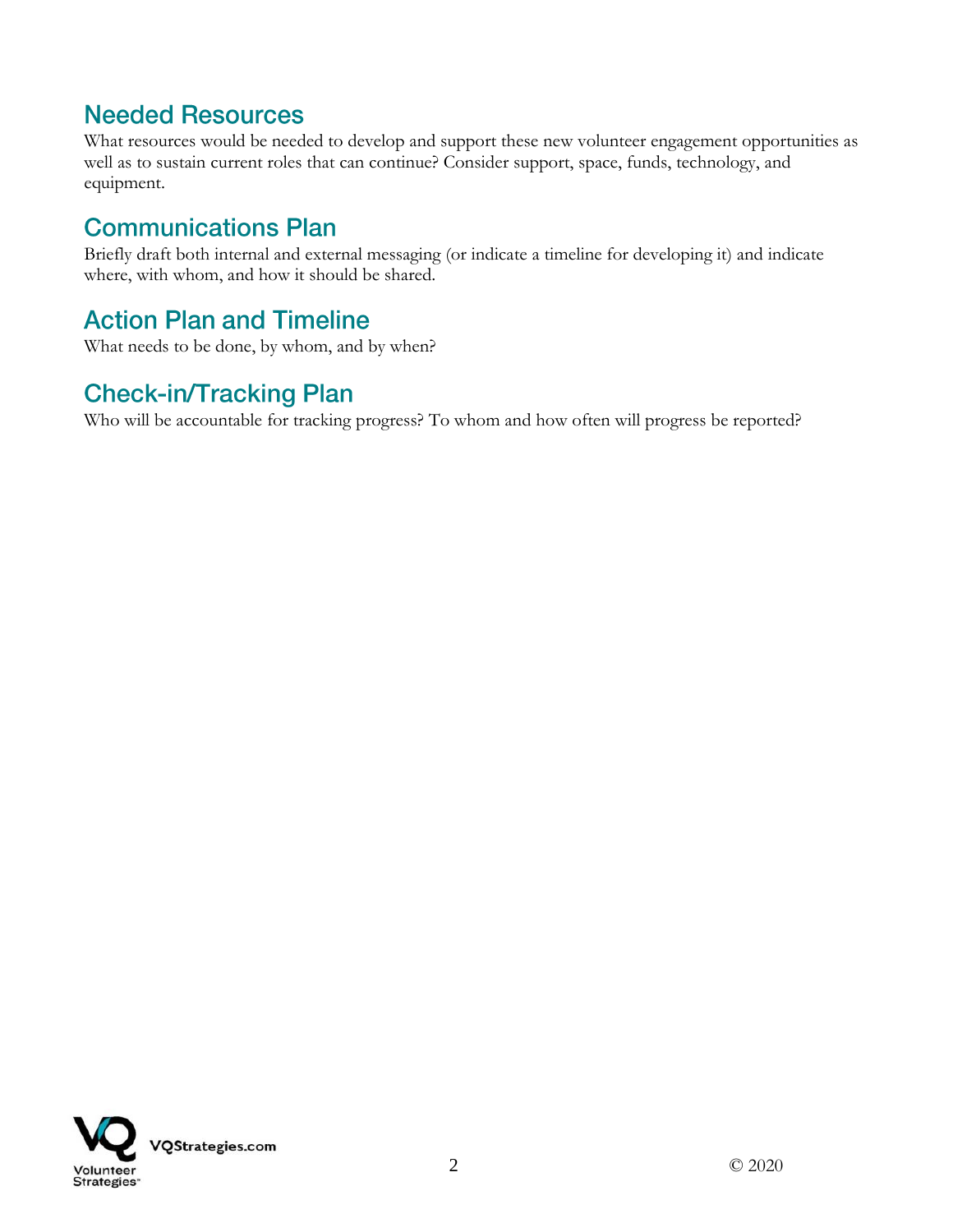#### **Needed Resources**

What resources would be needed to develop and support these new volunteer engagement opportunities as well as to sustain current roles that can continue? Consider support, space, funds, technology, and equipment.

### **Communications Plan**

Briefly draft both internal and external messaging (or indicate a timeline for developing it) and indicate where, with whom, and how it should be shared.

### **Action Plan and Timeline**

What needs to be done, by whom, and by when?

## **Check-in/Tracking Plan**

Who will be accountable for tracking progress? To whom and how often will progress be reported?

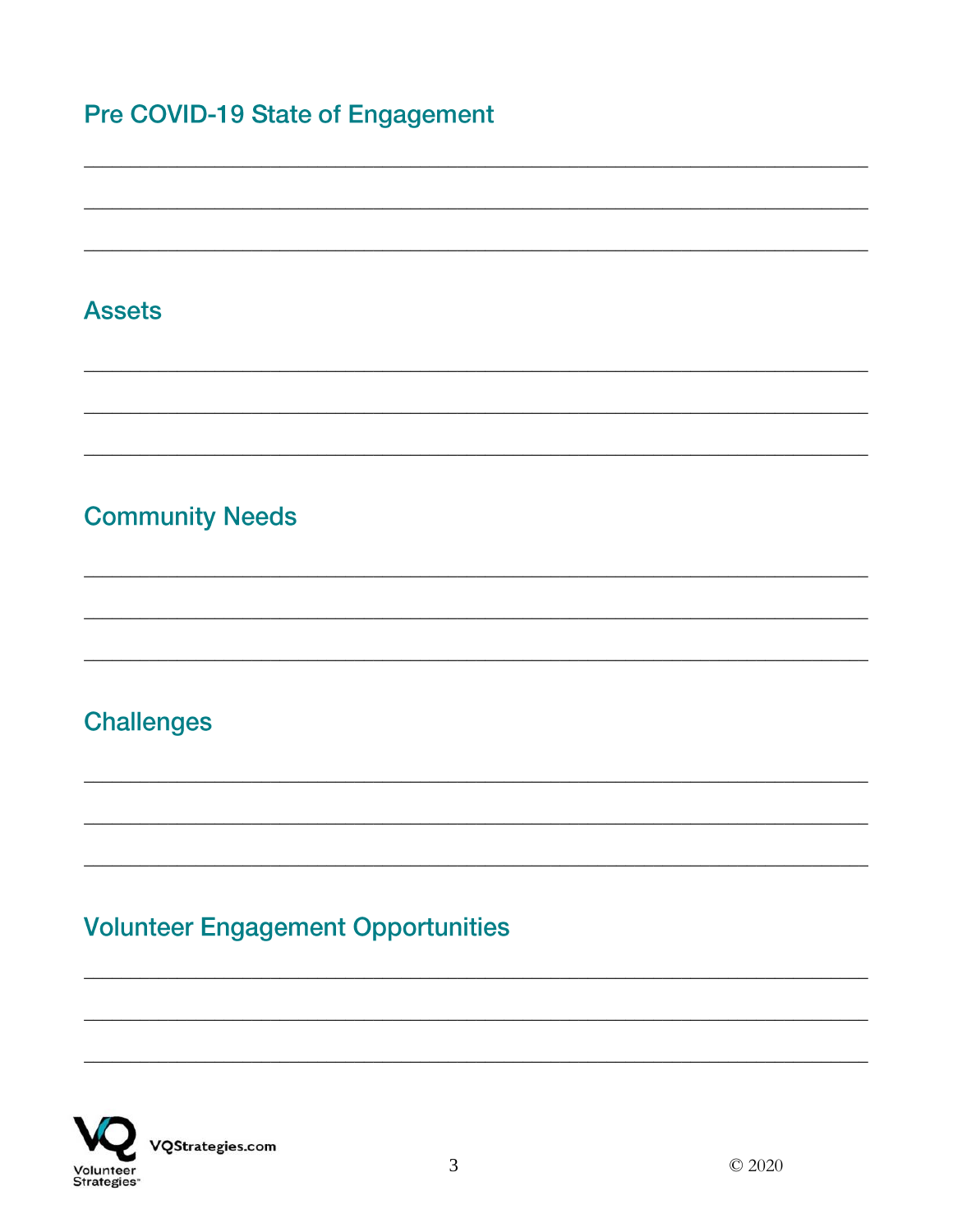## **Pre COVID-19 State of Engagement**

#### **Assets**

## **Community Needs**

### **Challenges**

# **Volunteer Engagement Opportunities**